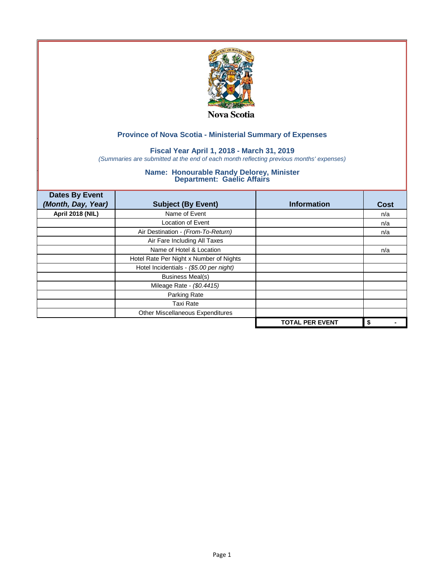

## **Fiscal Year April 1, 2018 - March 31, 2019**

*(Summaries are submitted at the end of each month reflecting previous months' expenses)*

| <b>Dates By Event</b>   |                                         |                        |             |
|-------------------------|-----------------------------------------|------------------------|-------------|
| (Month, Day, Year)      | <b>Subject (By Event)</b>               | <b>Information</b>     | <b>Cost</b> |
| <b>April 2018 (NIL)</b> | Name of Event                           |                        | n/a         |
|                         | Location of Event                       |                        | n/a         |
|                         | Air Destination - (From-To-Return)      |                        | n/a         |
|                         | Air Fare Including All Taxes            |                        |             |
|                         | Name of Hotel & Location                |                        | n/a         |
|                         | Hotel Rate Per Night x Number of Nights |                        |             |
|                         | Hotel Incidentials - (\$5.00 per night) |                        |             |
|                         | <b>Business Meal(s)</b>                 |                        |             |
|                         | Mileage Rate - (\$0.4415)               |                        |             |
|                         | Parking Rate                            |                        |             |
|                         | <b>Taxi Rate</b>                        |                        |             |
|                         | Other Miscellaneous Expenditures        |                        |             |
|                         |                                         | <b>TOTAL PER EVENT</b> | \$          |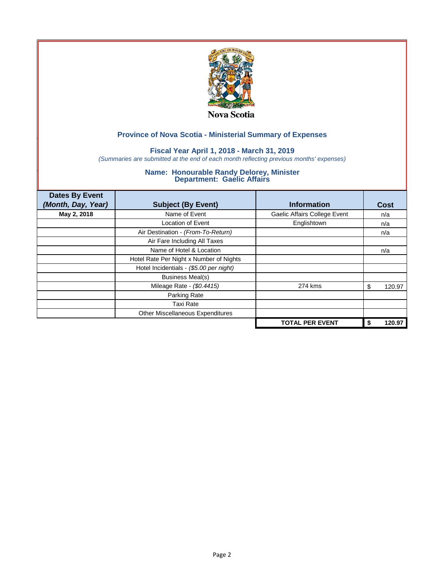

## **Fiscal Year April 1, 2018 - March 31, 2019**

*(Summaries are submitted at the end of each month reflecting previous months' expenses)*

| <b>Dates By Event</b><br>(Month, Day, Year) | <b>Subject (By Event)</b>               | <b>Information</b>           | Cost         |
|---------------------------------------------|-----------------------------------------|------------------------------|--------------|
|                                             |                                         |                              |              |
| May 2, 2018                                 | Name of Event                           | Gaelic Affairs College Event | n/a          |
|                                             | <b>Location of Event</b>                | Englishtown                  | n/a          |
|                                             | Air Destination - (From-To-Return)      |                              | n/a          |
|                                             | Air Fare Including All Taxes            |                              |              |
|                                             | Name of Hotel & Location                |                              | n/a          |
|                                             | Hotel Rate Per Night x Number of Nights |                              |              |
|                                             | Hotel Incidentials - (\$5.00 per night) |                              |              |
|                                             | <b>Business Meal(s)</b>                 |                              |              |
|                                             | Mileage Rate - (\$0.4415)               | 274 kms                      | 120.97<br>S  |
|                                             | Parking Rate                            |                              |              |
|                                             | Taxi Rate                               |                              |              |
|                                             | Other Miscellaneous Expenditures        |                              |              |
|                                             |                                         | <b>TOTAL PER EVENT</b>       | 120.97<br>\$ |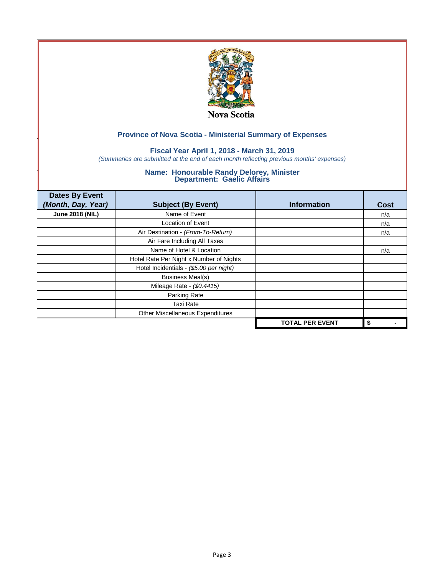

## **Fiscal Year April 1, 2018 - March 31, 2019**

*(Summaries are submitted at the end of each month reflecting previous months' expenses)*

| <b>Dates By Event</b><br>(Month, Day, Year) | <b>Subject (By Event)</b>               | <b>Information</b>     | <b>Cost</b> |
|---------------------------------------------|-----------------------------------------|------------------------|-------------|
| <b>June 2018 (NIL)</b>                      | Name of Event                           |                        | n/a         |
|                                             | Location of Event                       |                        | n/a         |
|                                             | Air Destination - (From-To-Return)      |                        | n/a         |
|                                             | Air Fare Including All Taxes            |                        |             |
|                                             | Name of Hotel & Location                |                        | n/a         |
|                                             | Hotel Rate Per Night x Number of Nights |                        |             |
|                                             | Hotel Incidentials - (\$5.00 per night) |                        |             |
|                                             | <b>Business Meal(s)</b>                 |                        |             |
|                                             | Mileage Rate - (\$0.4415)               |                        |             |
|                                             | Parking Rate                            |                        |             |
|                                             | <b>Taxi Rate</b>                        |                        |             |
|                                             | Other Miscellaneous Expenditures        |                        |             |
|                                             |                                         | <b>TOTAL PER EVENT</b> | \$          |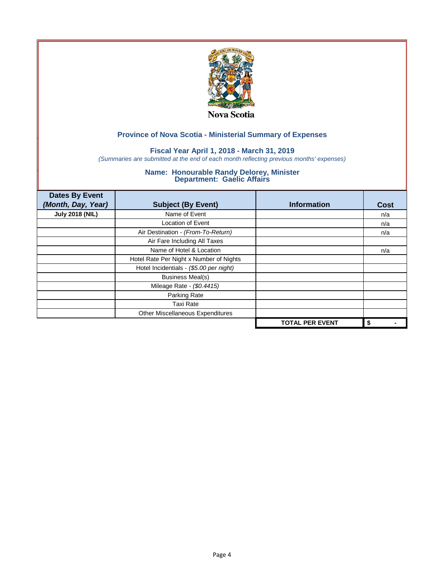

## **Fiscal Year April 1, 2018 - March 31, 2019**

*(Summaries are submitted at the end of each month reflecting previous months' expenses)*

| <b>Dates By Event</b>  |                                         |                        |      |
|------------------------|-----------------------------------------|------------------------|------|
| (Month, Day, Year)     | <b>Subject (By Event)</b>               | <b>Information</b>     | Cost |
| <b>July 2018 (NIL)</b> | Name of Event                           |                        | n/a  |
|                        | Location of Event                       |                        | n/a  |
|                        | Air Destination - (From-To-Return)      |                        | n/a  |
|                        | Air Fare Including All Taxes            |                        |      |
|                        | Name of Hotel & Location                |                        | n/a  |
|                        | Hotel Rate Per Night x Number of Nights |                        |      |
|                        | Hotel Incidentials - (\$5.00 per night) |                        |      |
|                        | <b>Business Meal(s)</b>                 |                        |      |
|                        | Mileage Rate - (\$0.4415)               |                        |      |
|                        | Parking Rate                            |                        |      |
|                        | <b>Taxi Rate</b>                        |                        |      |
|                        | Other Miscellaneous Expenditures        |                        |      |
|                        |                                         | <b>TOTAL PER EVENT</b> | \$   |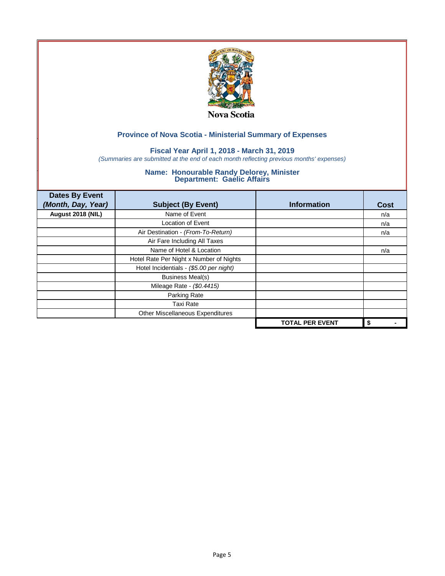

## **Fiscal Year April 1, 2018 - March 31, 2019**

*(Summaries are submitted at the end of each month reflecting previous months' expenses)*

| <b>Dates By Event</b> |                                         |                        |      |
|-----------------------|-----------------------------------------|------------------------|------|
| (Month, Day, Year)    | <b>Subject (By Event)</b>               | <b>Information</b>     | Cost |
| August 2018 (NIL)     | Name of Event                           |                        | n/a  |
|                       | <b>Location of Event</b>                |                        | n/a  |
|                       | Air Destination - (From-To-Return)      |                        | n/a  |
|                       | Air Fare Including All Taxes            |                        |      |
|                       | Name of Hotel & Location                |                        | n/a  |
|                       | Hotel Rate Per Night x Number of Nights |                        |      |
|                       | Hotel Incidentials - (\$5.00 per night) |                        |      |
|                       | <b>Business Meal(s)</b>                 |                        |      |
|                       | Mileage Rate - (\$0.4415)               |                        |      |
|                       | Parking Rate                            |                        |      |
|                       | <b>Taxi Rate</b>                        |                        |      |
|                       | Other Miscellaneous Expenditures        |                        |      |
|                       |                                         | <b>TOTAL PER EVENT</b> | \$   |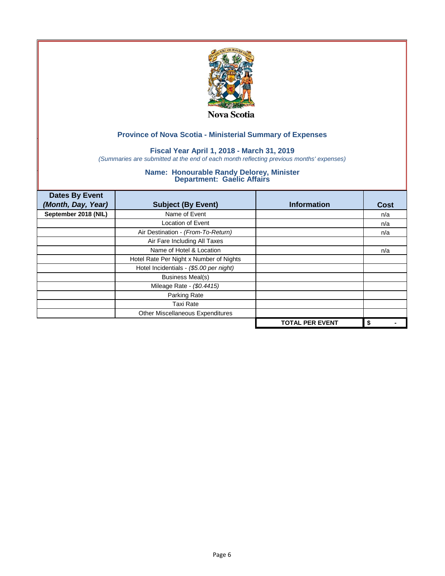

## **Fiscal Year April 1, 2018 - March 31, 2019**

*(Summaries are submitted at the end of each month reflecting previous months' expenses)*

| <b>Dates By Event</b> |                                         |                        |      |
|-----------------------|-----------------------------------------|------------------------|------|
| (Month, Day, Year)    | <b>Subject (By Event)</b>               | <b>Information</b>     | Cost |
| September 2018 (NIL)  | Name of Event                           |                        | n/a  |
|                       | <b>Location of Event</b>                |                        | n/a  |
|                       | Air Destination - (From-To-Return)      |                        | n/a  |
|                       | Air Fare Including All Taxes            |                        |      |
|                       | Name of Hotel & Location                |                        | n/a  |
|                       | Hotel Rate Per Night x Number of Nights |                        |      |
|                       | Hotel Incidentials - (\$5.00 per night) |                        |      |
|                       | <b>Business Meal(s)</b>                 |                        |      |
|                       | Mileage Rate - (\$0.4415)               |                        |      |
|                       | Parking Rate                            |                        |      |
|                       | Taxi Rate                               |                        |      |
|                       | Other Miscellaneous Expenditures        |                        |      |
|                       |                                         | <b>TOTAL PER EVENT</b> | \$   |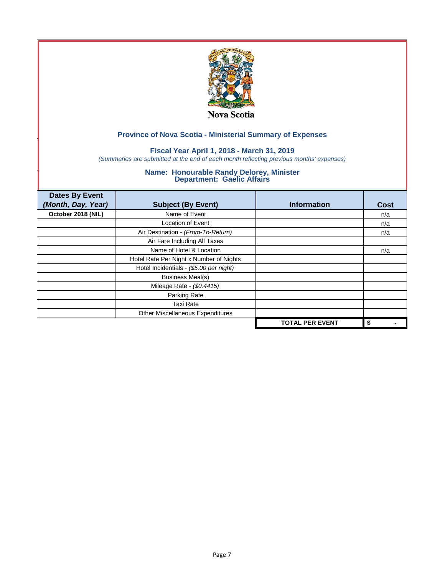

## **Fiscal Year April 1, 2018 - March 31, 2019**

*(Summaries are submitted at the end of each month reflecting previous months' expenses)*

| <b>Dates By Event</b> |                                         |                        |      |
|-----------------------|-----------------------------------------|------------------------|------|
| (Month, Day, Year)    | <b>Subject (By Event)</b>               | <b>Information</b>     | Cost |
| October 2018 (NIL)    | Name of Event                           |                        | n/a  |
|                       | <b>Location of Event</b>                |                        | n/a  |
|                       | Air Destination - (From-To-Return)      |                        | n/a  |
|                       | Air Fare Including All Taxes            |                        |      |
|                       | Name of Hotel & Location                |                        | n/a  |
|                       | Hotel Rate Per Night x Number of Nights |                        |      |
|                       | Hotel Incidentials - (\$5.00 per night) |                        |      |
|                       | <b>Business Meal(s)</b>                 |                        |      |
|                       | Mileage Rate - (\$0.4415)               |                        |      |
|                       | Parking Rate                            |                        |      |
|                       | <b>Taxi Rate</b>                        |                        |      |
|                       | Other Miscellaneous Expenditures        |                        |      |
|                       |                                         | <b>TOTAL PER EVENT</b> | \$   |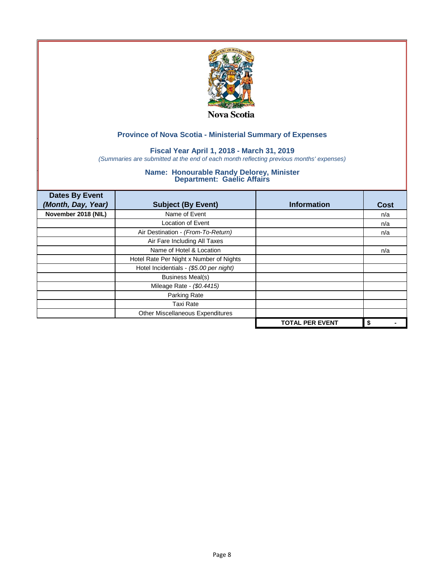

## **Fiscal Year April 1, 2018 - March 31, 2019**

*(Summaries are submitted at the end of each month reflecting previous months' expenses)*

| <b>Dates By Event</b><br>(Month, Day, Year) | <b>Subject (By Event)</b>               | <b>Information</b>     | <b>Cost</b> |
|---------------------------------------------|-----------------------------------------|------------------------|-------------|
| November 2018 (NIL)                         | Name of Event                           |                        | n/a         |
|                                             | Location of Event                       |                        | n/a         |
|                                             | Air Destination - (From-To-Return)      |                        | n/a         |
|                                             | Air Fare Including All Taxes            |                        |             |
|                                             | Name of Hotel & Location                |                        | n/a         |
|                                             | Hotel Rate Per Night x Number of Nights |                        |             |
|                                             | Hotel Incidentials - (\$5.00 per night) |                        |             |
|                                             | <b>Business Meal(s)</b>                 |                        |             |
|                                             | Mileage Rate - (\$0.4415)               |                        |             |
|                                             | Parking Rate                            |                        |             |
|                                             | <b>Taxi Rate</b>                        |                        |             |
|                                             | Other Miscellaneous Expenditures        |                        |             |
|                                             |                                         | <b>TOTAL PER EVENT</b> | \$          |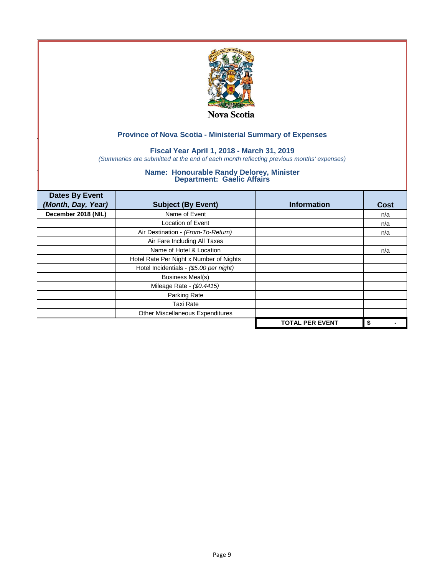

## **Fiscal Year April 1, 2018 - March 31, 2019**

*(Summaries are submitted at the end of each month reflecting previous months' expenses)*

| <b>Dates By Event</b><br>(Month, Day, Year) | <b>Subject (By Event)</b>               | <b>Information</b>     | <b>Cost</b> |
|---------------------------------------------|-----------------------------------------|------------------------|-------------|
| December 2018 (NIL)                         | Name of Event                           |                        | n/a         |
|                                             | Location of Event                       |                        | n/a         |
|                                             | Air Destination - (From-To-Return)      |                        | n/a         |
|                                             | Air Fare Including All Taxes            |                        |             |
|                                             | Name of Hotel & Location                |                        | n/a         |
|                                             | Hotel Rate Per Night x Number of Nights |                        |             |
|                                             | Hotel Incidentials - (\$5.00 per night) |                        |             |
|                                             | <b>Business Meal(s)</b>                 |                        |             |
|                                             | Mileage Rate - (\$0.4415)               |                        |             |
|                                             | Parking Rate                            |                        |             |
|                                             | <b>Taxi Rate</b>                        |                        |             |
|                                             | Other Miscellaneous Expenditures        |                        |             |
|                                             |                                         | <b>TOTAL PER EVENT</b> | \$          |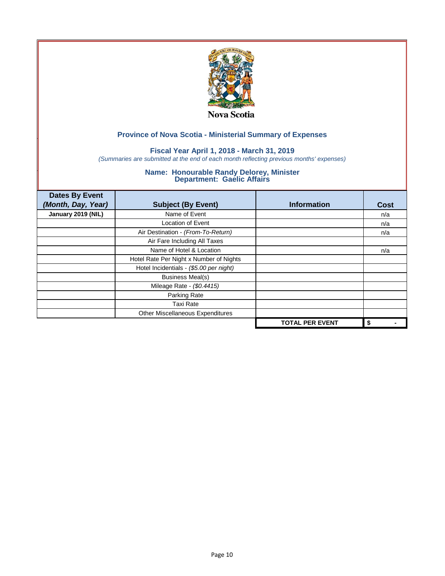

## **Fiscal Year April 1, 2018 - March 31, 2019**

*(Summaries are submitted at the end of each month reflecting previous months' expenses)*

| <b>Dates By Event</b><br>(Month, Day, Year) | <b>Subject (By Event)</b>               | <b>Information</b>     | <b>Cost</b> |
|---------------------------------------------|-----------------------------------------|------------------------|-------------|
| January 2019 (NIL)                          | Name of Event                           |                        | n/a         |
|                                             | Location of Event                       |                        | n/a         |
|                                             | Air Destination - (From-To-Return)      |                        | n/a         |
|                                             | Air Fare Including All Taxes            |                        |             |
|                                             | Name of Hotel & Location                |                        | n/a         |
|                                             | Hotel Rate Per Night x Number of Nights |                        |             |
|                                             | Hotel Incidentials - (\$5.00 per night) |                        |             |
|                                             | <b>Business Meal(s)</b>                 |                        |             |
|                                             | Mileage Rate - (\$0.4415)               |                        |             |
|                                             | Parking Rate                            |                        |             |
|                                             | <b>Taxi Rate</b>                        |                        |             |
|                                             | Other Miscellaneous Expenditures        |                        |             |
|                                             |                                         | <b>TOTAL PER EVENT</b> | \$          |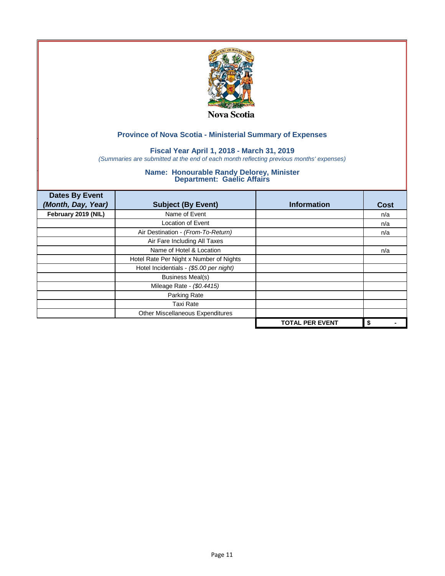

## **Fiscal Year April 1, 2018 - March 31, 2019**

*(Summaries are submitted at the end of each month reflecting previous months' expenses)*

| <b>Dates By Event</b><br>(Month, Day, Year) | <b>Subject (By Event)</b>               | <b>Information</b>     | <b>Cost</b> |
|---------------------------------------------|-----------------------------------------|------------------------|-------------|
| February 2019 (NIL)                         | Name of Event                           |                        | n/a         |
|                                             | Location of Event                       |                        | n/a         |
|                                             | Air Destination - (From-To-Return)      |                        | n/a         |
|                                             | Air Fare Including All Taxes            |                        |             |
|                                             | Name of Hotel & Location                |                        | n/a         |
|                                             | Hotel Rate Per Night x Number of Nights |                        |             |
|                                             | Hotel Incidentials - (\$5.00 per night) |                        |             |
|                                             | <b>Business Meal(s)</b>                 |                        |             |
|                                             | Mileage Rate - (\$0.4415)               |                        |             |
|                                             | Parking Rate                            |                        |             |
|                                             | <b>Taxi Rate</b>                        |                        |             |
|                                             | Other Miscellaneous Expenditures        |                        |             |
|                                             |                                         | <b>TOTAL PER EVENT</b> | \$          |